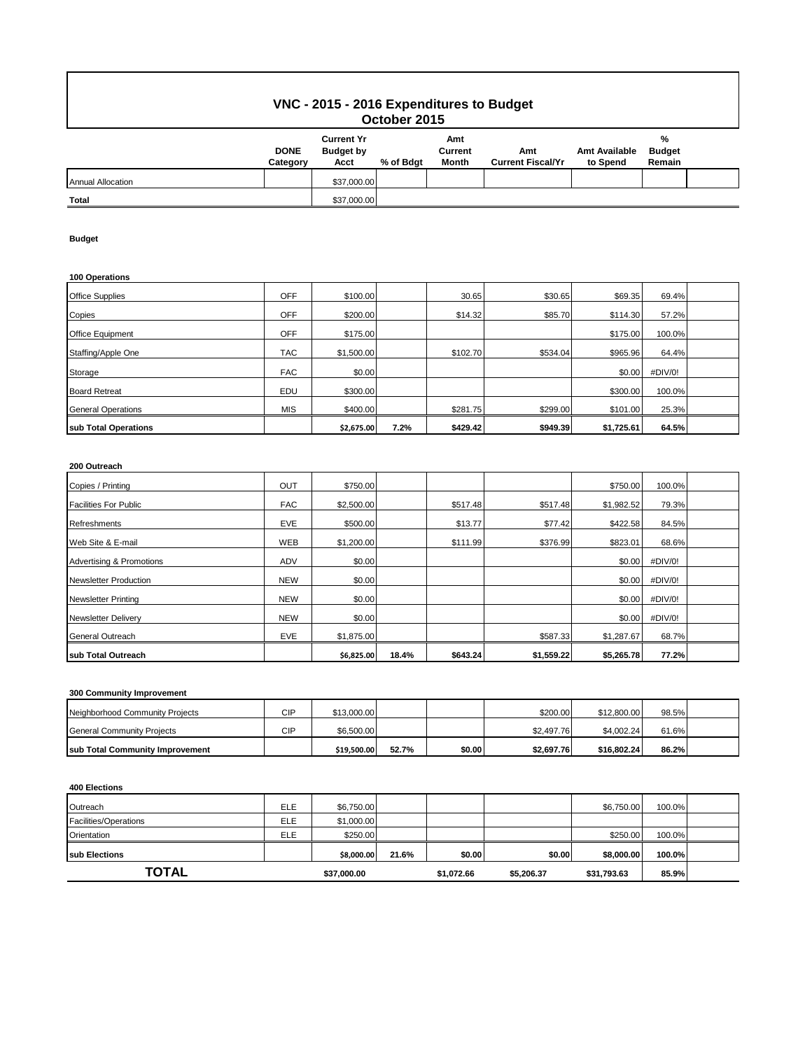# **VNC - 2015 - 2016 Expenditures to Budget October 2015**

|                          | <b>DONE</b><br>Category | <b>Current Yr</b><br><b>Budget by</b><br>Acct | % of Bdgt | Amt<br>Current<br>Month | Amt<br><b>Current Fiscal/Yr</b> | <b>Amt Available</b><br>to Spend | %<br><b>Budget</b><br>Remain |  |  |
|--------------------------|-------------------------|-----------------------------------------------|-----------|-------------------------|---------------------------------|----------------------------------|------------------------------|--|--|
| <b>Annual Allocation</b> |                         | \$37,000.00                                   |           |                         |                                 |                                  |                              |  |  |
| <b>Total</b>             |                         | \$37,000.00                                   |           |                         |                                 |                                  |                              |  |  |

### **Budget**

### **100 Operations**

| sub Total Operations      |            | \$2,675.00 | 7.2% | \$429.42 | \$949.39 | \$1,725.61 | 64.5%   |  |
|---------------------------|------------|------------|------|----------|----------|------------|---------|--|
| <b>General Operations</b> | <b>MIS</b> | \$400.00   |      | \$281.75 | \$299.00 | \$101.00   | 25.3%   |  |
| <b>Board Retreat</b>      | EDU        | \$300.00   |      |          |          | \$300.00   | 100.0%  |  |
| Storage                   | <b>FAC</b> | \$0.00     |      |          |          | \$0.00     | #DIV/0! |  |
| Staffing/Apple One        | <b>TAC</b> | \$1,500.00 |      | \$102.70 | \$534.04 | \$965.96   | 64.4%   |  |
| Office Equipment          | <b>OFF</b> | \$175.00   |      |          |          | \$175.00   | 100.0%  |  |
| Copies                    | OFF        | \$200.00   |      | \$14.32  | \$85.70  | \$114.30   | 57.2%   |  |
| <b>Office Supplies</b>    | OFF        | \$100.00   |      | 30.65    | \$30.65  | \$69.35    | 69.4%   |  |

## **200 Outreach**

| Copies / Printing                   | OUT        | \$750.00   |       |          |            | \$750.00   | 100.0%  |  |
|-------------------------------------|------------|------------|-------|----------|------------|------------|---------|--|
| <b>Facilities For Public</b>        | <b>FAC</b> | \$2,500.00 |       | \$517.48 | \$517.48   | \$1,982.52 | 79.3%   |  |
| Refreshments                        | EVE        | \$500.00   |       | \$13.77  | \$77.42    | \$422.58   | 84.5%   |  |
| Web Site & E-mail                   | <b>WEB</b> | \$1,200.00 |       | \$111.99 | \$376.99   | \$823.01   | 68.6%   |  |
| <b>Advertising &amp; Promotions</b> | <b>ADV</b> | \$0.00     |       |          |            | \$0.00     | #DIV/0! |  |
| <b>Newsletter Production</b>        | <b>NEW</b> | \$0.00     |       |          |            | \$0.00     | #DIV/0! |  |
| <b>Newsletter Printing</b>          | <b>NEW</b> | \$0.00     |       |          |            | \$0.00     | #DIV/0! |  |
| <b>Newsletter Delivery</b>          | <b>NEW</b> | \$0.00     |       |          |            | \$0.00     | #DIV/0! |  |
| General Outreach                    | EVE        | \$1,875.00 |       |          | \$587.33   | \$1,287.67 | 68.7%   |  |
| sub Total Outreach                  |            | \$6,825.00 | 18.4% | \$643.24 | \$1,559.22 | \$5,265.78 | 77.2%   |  |

### **300 Community Improvement**

| Neighborhood Community Projects         | CIP | \$13,000.00 |       |        | \$200.00   | \$12,800.00 | 98.5% |  |
|-----------------------------------------|-----|-------------|-------|--------|------------|-------------|-------|--|
| General Community Projects              | CIP | \$6.500.00  |       |        | \$2.497.76 | \$4.002.24  | 61.6% |  |
| <b>Isub Total Community Improvement</b> |     | \$19.500.00 | 52.7% | \$0.00 | \$2,697.76 | \$16.802.24 | 86.2% |  |

#### **400 Elections**

| Outreach              | <b>ELE</b> | \$6,750.00  |       |            |            | \$6,750.00  | 100.0% |  |
|-----------------------|------------|-------------|-------|------------|------------|-------------|--------|--|
| Facilities/Operations | <b>ELE</b> | \$1,000.00  |       |            |            |             |        |  |
| Orientation           | ELE        | \$250.00    |       |            |            | \$250.00    | 100.0% |  |
| <b>Isub Elections</b> |            | \$8,000.00  | 21.6% | \$0.00     | \$0.00     | \$8,000.00  | 100.0% |  |
| TOTAL                 |            | \$37,000.00 |       | \$1,072.66 | \$5,206.37 | \$31,793.63 | 85.9%  |  |